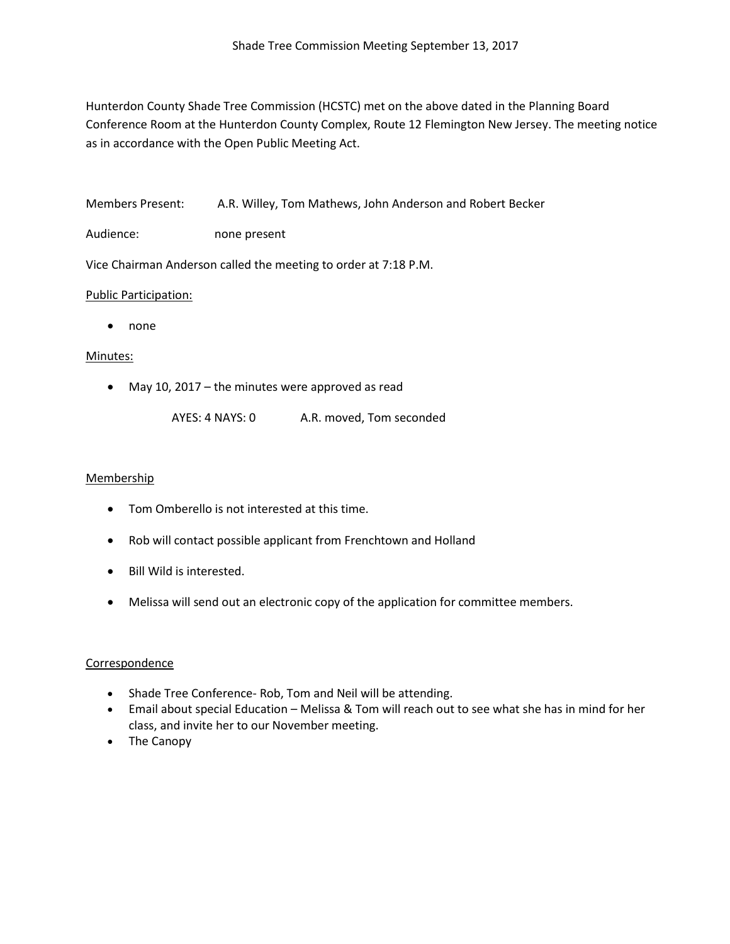Hunterdon County Shade Tree Commission (HCSTC) met on the above dated in the Planning Board Conference Room at the Hunterdon County Complex, Route 12 Flemington New Jersey. The meeting notice as in accordance with the Open Public Meeting Act.

Members Present: A.R. Willey, Tom Mathews, John Anderson and Robert Becker

Audience: none present

Vice Chairman Anderson called the meeting to order at 7:18 P.M.

## Public Participation:

• none

## Minutes:

- May 10, 2017 the minutes were approved as read
	- AYES: 4 NAYS: 0 A.R. moved, Tom seconded

## Membership

- Tom Omberello is not interested at this time.
- Rob will contact possible applicant from Frenchtown and Holland
- Bill Wild is interested.
- Melissa will send out an electronic copy of the application for committee members.

# Correspondence

- Shade Tree Conference- Rob, Tom and Neil will be attending.
- Email about special Education Melissa & Tom will reach out to see what she has in mind for her class, and invite her to our November meeting.
- The Canopy